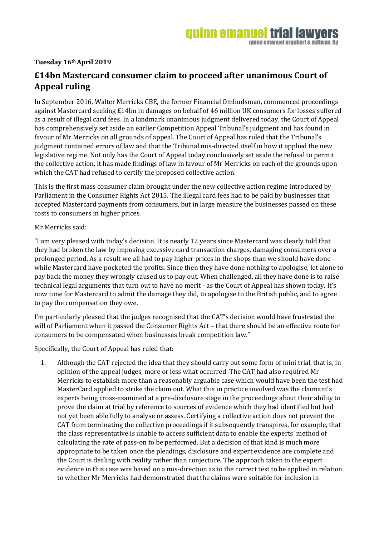**Tuesday 16th April 2019**

## **£14bn Mastercard consumer claim to proceed after unanimous Court of Appeal ruling**

In September 2016, Walter Merricks CBE, the former Financial Ombudsman, commenced proceedings against Mastercard seeking £14bn in damages on behalf of 46 million UK consumers for losses suffered as a result of illegal card fees. In a landmark unanimous judgment delivered today, the Court of Appeal has comprehensively set aside an earlier Competition Appeal Tribunal's judgment and has found in favour of Mr Merricks on all grounds of appeal. The Court of Appeal has ruled that the Tribunal's judgment contained errors of law and that the Tribunal mis-directed itself in how it applied the new legislative regime. Not only has the Court of Appeal today conclusively set aside the refusal to permit the collective action, it has made findings of law in favour of Mr Merricks on each of the grounds upon which the CAT had refused to certify the proposed collective action.

This is the first mass consumer claim brought under the new collective action regime introduced by Parliament in the Consumer Rights Act 2015. The illegal card fees had to be paid by businesses that accepted Mastercard payments from consumers, but in large measure the businesses passed on these costs to consumers in higher prices.

Mr Merricks said:

"I am very pleased with today's decision. It is nearly 12 years since Mastercard was clearly told that they had broken the law by imposing excessive card transaction charges, damaging consumers over a prolonged period. As a result we all had to pay higher prices in the shops than we should have done while Mastercard have pocketed the profits. Since then they have done nothing to apologise, let alone to pay back the money they wrongly caused us to pay out. When challenged, all they have done is to raise technical legal arguments that turn out to have no merit - as the Court of Appeal has shown today. It's now time for Mastercard to admit the damage they did, to apologise to the British public, and to agree to pay the compensation they owe.

I'm particularly pleased that the judges recognised that the CAT's decision would have frustrated the will of Parliament when it passed the Consumer Rights Act – that there should be an effective route for consumers to be compensated when businesses break competition law."

Specifically, the Court of Appeal has ruled that:

1. Although the CAT rejected the idea that they should carry out some form of mini trial, that is, in opinion of the appeal judges, more or less what occurred. The CAT had also required Mr Merricks to establish more than a reasonably arguable case which would have been the test had MasterCard applied to strike the claim out. What this in practice involved was the claimant's experts being cross-examined at a pre-disclosure stage in the proceedings about their ability to prove the claim at trial by reference to sources of evidence which they had identified but had not yet been able fully to analyse or assess. Certifying a collective action does not prevent the CAT from terminating the collective proceedings if it subsequently transpires, for example, that the class representative is unable to access sufficient data to enable the experts' method of calculating the rate of pass-on to be performed. But a decision of that kind is much more appropriate to be taken once the pleadings, disclosure and expert evidence are complete and the Court is dealing with reality rather than conjecture. The approach taken to the expert evidence in this case was based on a mis-direction as to the correct test to be applied in relation to whether Mr Merricks had demonstrated that the claims were suitable for inclusion in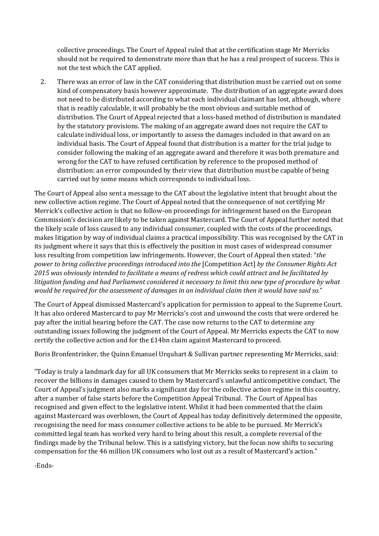collective proceedings. The Court of Appeal ruled that at the certification stage Mr Merricks should not be required to demonstrate more than that he has a real prospect of success. This is not the test which the CAT applied.

2. There was an error of law in the CAT considering that distribution must be carried out on some kind of compensatory basis however approximate. The distribution of an aggregate award does not need to be distributed according to what each individual claimant has lost, although, where that is readily calculable, it will probably be the most obvious and suitable method of distribution. The Court of Appeal rejected that a loss-based method of distribution is mandated by the statutory provisions. The making of an aggregate award does not require the CAT to calculate individual loss, or importantly to assess the damages included in that award on an individual basis. The Court of Appeal found that distribution is a matter for the trial judge to consider following the making of an aggregate award and therefore it was both premature and wrong for the CAT to have refused certification by reference to the proposed method of distribution: an error compounded by their view that distribution must be capable of being carried out by some means which corresponds to individual loss.

The Court of Appeal also sent a message to the CAT about the legislative intent that brought about the new collective action regime. The Court of Appeal noted that the consequence of not certifying Mr Merrick's collective action is that no follow-on proceedings for infringement based on the European Commission's decision are likely to be taken against Mastercard. The Court of Appeal further noted that the likely scale of loss caused to any individual consumer, coupled with the costs of the proceedings, makes litigation by way of individual claims a practical impossibility. This was recognised by the CAT in its judgment where it says that this is effectively the position in most cases of widespread consumer loss resulting from competition law infringements. However, the Court of Appeal then stated: "*the power to bring collective proceedings introduced into the* [Competition Act] *by the Consumer Rights Act 2015 was obviously intended to facilitate a means of redress which could attract and be facilitated by litigation funding and had Parliament considered it necessary to limit this new type of procedure by what would be required for the assessment of damages in an individual claim then it would have said so.*"

The Court of Appeal dismissed Mastercard's application for permission to appeal to the Supreme Court. It has also ordered Mastercard to pay Mr Merricks's cost and unwound the costs that were ordered he pay after the initial hearing before the CAT. The case now returns to the CAT to determine any outstanding issues following the judgment of the Court of Appeal. Mr Merricks expects the CAT to now certify the collective action and for the £14bn claim against Mastercard to proceed.

Boris Bronfentrinker, the Quinn Emanuel Urquhart & Sullivan partner representing Mr Merricks, said:

"Today is truly a landmark day for all UK consumers that Mr Merricks seeks to represent in a claim to recover the billions in damages caused to them by Mastercard's unlawful anticompetitive conduct. The Court of Appeal's judgment also marks a significant day for the collective action regime in this country, after a number of false starts before the Competition Appeal Tribunal. The Court of Appeal has recognised and given effect to the legislative intent. Whilst it had been commented that the claim against Mastercard was overblown, the Court of Appeal has today definitively determined the opposite, recognising the need for mass consumer collective actions to be able to be pursued. Mr Merrick's committed legal team has worked very hard to bring about this result, a complete reversal of the findings made by the Tribunal below. This is a satisfying victory, but the focus now shifts to securing compensation for the 46 million UK consumers who lost out as a result of Mastercard's action."

-Ends-